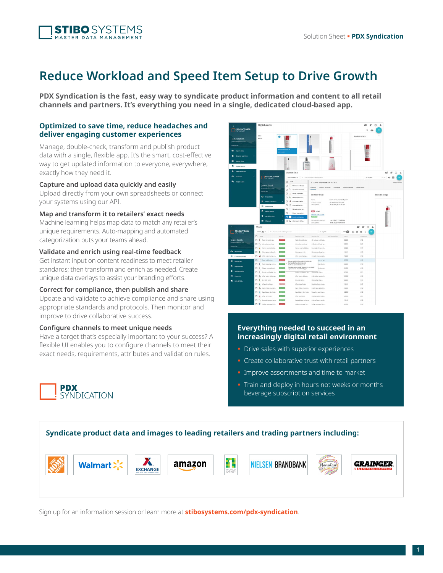

# **Reduce Workload and Speed Item Setup to Drive Growth**

**PDX Syndication is the fast, easy way to syndicate product information and content to all retail channels and partners. It's everything you need in a single, dedicated cloud-based app.**

## **Optimized to save time, reduce headaches and deliver engaging customer experiences**

Manage, double-check, transform and publish product data with a single, flexible app. It's the smart, cost-effective way to get updated information to everyone, everywhere, exactly how they need it.

**Capture and upload data quickly and easily**

Upload directly from your own spreadsheets or connect your systems using our API.

**Map and transform it to retailers' exact needs**

Machine learning helps map data to match any retailer's unique requirements. Auto-mapping and automated categorization puts your teams ahead.

### **Validate and enrich using real-time feedback**

Get instant input on content readiness to meet retailer standards; then transform and enrich as needed. Create unique data overlays to assist your branding efforts.

#### **Correct for compliance, then publish and share**

Update and validate to achieve compliance and share using appropriate standards and protocols. Then monitor and improve to drive collaborative success.

#### **Configure channels to meet unique needs**

Have a target that's especially important to your success? A flexible UI enables you to configure channels to meet their exact needs, requirements, attributes and validation rules.





# **Everything needed to succeed in an increasingly digital retail environment**

- Drive sales with superior experiences
- Create collaborative trust with retail partners
- **Improve assortments and time to market**
- Train and deploy in hours not weeks or months beverage subscription services



Sign up for an information session or learn more at **[stibosystems.com/pdx](http://www.stibosystems.com/pdx-syndication)-syndication**.